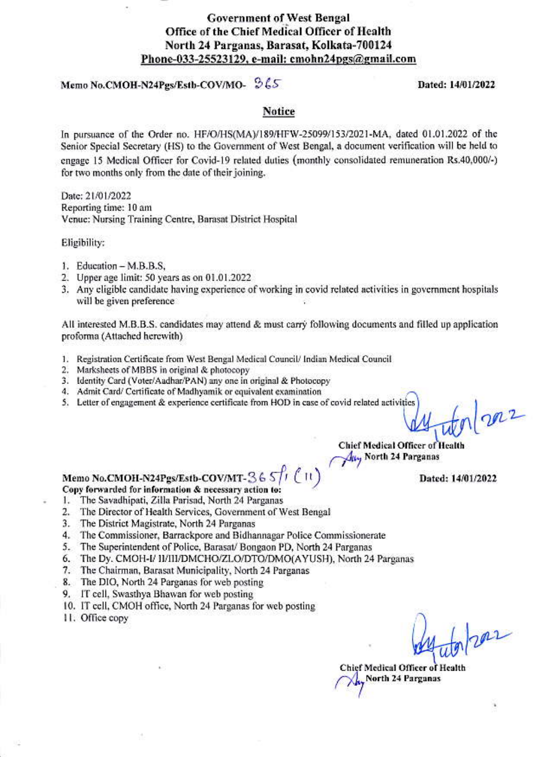

# Memo No.CMOH-N24Pgs/Estb-COV/MO- 965

#### Dated: 14/01/2022

#### **Notice**

In pursuance of the Order no. HF/O/HS(MA)/189/HFW-25099/153/2021-MA, dated 01.01.2022 of the Senior Special Secretary (HS) to the Government of West Bengal, a document verification will be held to engage 15 Medical Officer for Covid-19 related duties (monthly consolidated remuneration Rs.40,000/-) for two months only from the date of their joining.

Date: 21/01/2022 Reporting time: 10 am Venue: Nursing Training Centre, Barasat District Hospital

Eligibility:

- 1. Education M.B.B.S,
- 2. Upper age limit: 50 years as on 01.01.2022
- 3. Any eligible candidate having experience of working in covid related activities in government hospitals will be given preference

All interested M.B.B.S. candidates may attend & must carry following documents and filled up application proforma (Attached herewith)

- 1. Registration Certificate from West Bengal Medical Council/ Indian Medical Council
- 2. Marksheets of MBBS in original & photocopy
- 3. Identity Card (Voter/Aadhar/PAN) any one in original & Photocopy
- 4. Admit Card/ Certificate of Madhyamik or equivalent examination
- 5. Letter of engagement & experience certificate from HOD in case of covid related activities

 $q_{12}$ 

**Chief Medical Officer of Health** May North 24 Parganas

Dated: 14/01/2022

# Memo No.CMOH-N24Pgs/Estb-COV/MT-36 S/1 (11)

- Copy forwarded for information & necessary action to:
- The Savadhipati, Zilla Parisad, North 24 Parganas  $1.$
- The Director of Health Services, Government of West Bengal 2.
- 3. The District Magistrate, North 24 Parganas
- 4. The Commissioner, Barrackpore and Bidhannagar Police Commissionerate
- 5. The Superintendent of Police, Barasat/ Bongaon PD, North 24 Parganas
- 6. The Dy. CMOH-I/ II/III/DMCHO/ZLO/DTO/DMO(AYUSH), North 24 Parganas
- 7. The Chairman, Barasat Municipality, North 24 Parganas
- 8. The DIO, North 24 Parganas for web posting
- 9. IT cell, Swasthya Bhawan for web posting
- 10. IT cell, CMOH office, North 24 Parganas for web posting
- 11. Office copy

 $201$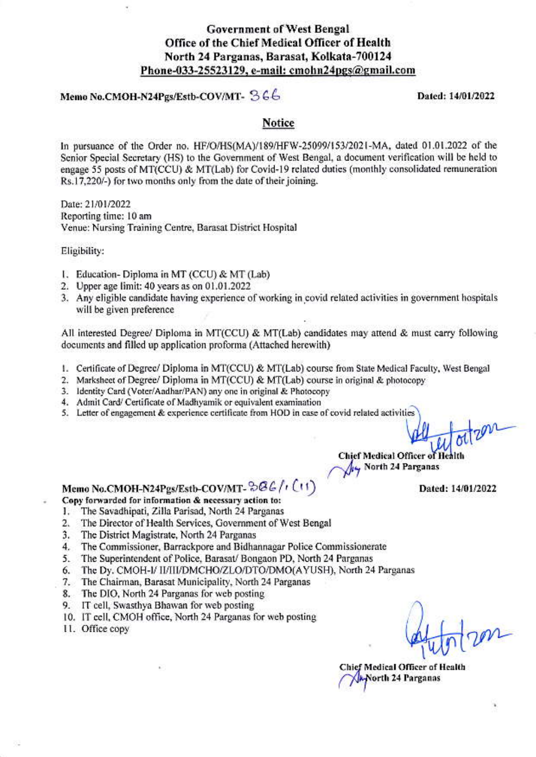#### Memo No.CMOH-N24Pgs/Estb-COV/MT- 366

Dated: 14/01/2022

#### Notice

In pursuance of the Order no. HF/O/HS(MA)/189/HFW-25099/153/2021-MA, dated 01.01.2022 of the Senior Special Secretary (HS) to the Government of West Bengal, a document verification will be held to engage 55 posts of MT(CCU) & MT(Lab) for Covid-19 related duties (monthly consolidated remuneration Rs.17,220/-) for two months only from the date of their joining.

Date: 21/01/2022 Reporting time: 10 am Venue: Nursing Training Centre, Barasat District Hospital

Eligibility:

- 1. Education-Diploma in MT (CCU) & MT (Lab)
- 2. Upper age limit: 40 years as on 01.01.2022
- 3. Any eligible candidate having experience of working in covid related activities in government hospitals will be given preference

All interested Degree/ Diploma in MT(CCU) & MT(Lab) candidates may attend & must carry following documents and filled up application proforma (Attached herewith)

- 1. Certificate of Degree/ Diploma in MT(CCU) & MT(Lab) course from State Medical Faculty, West Bengal
- 2. Marksheet of Degree/ Diploma in MT(CCU) & MT(Lab) course in original & photocopy
- 3. Identity Card (Voter/Aadhar/PAN) any one in original & Photocopy
- 4. Admit Card/ Certificate of Madhyamik or equivalent examination
- 5. Letter of engagement & experience certificate from HOD in case of covid related activities

**Chief Medical Officer of Heal** New North 24 Parganas

Dated: 14/01/2022

# Memo No.CMOH-N24Pgs/Estb-COV/MT-384/(1(1)

- Copy forwarded for information & necessary action to:
- The Savadhipati, Zilla Parisad, North 24 Parganas Т.
- 2. The Director of Health Services, Government of West Bengal
- The District Magistrate, North 24 Parganas 3.
- 4. The Commissioner, Barrackpore and Bidhannagar Police Commissionerate
- 5. The Superintendent of Police, Barasat/ Bongaon PD, North 24 Parganas
- The Dy. CMOH-I/ II/III/DMCHO/ZLO/DTO/DMO(AYUSH), North 24 Parganas 6.
- 7. The Chairman, Barasat Municipality, North 24 Parganas
- 8. The DIO, North 24 Parganas for web posting
- 9. IT cell, Swasthya Bhawan for web posting
- 10. IT cell, CMOH office, North 24 Parganas for web posting
- 11. Office copy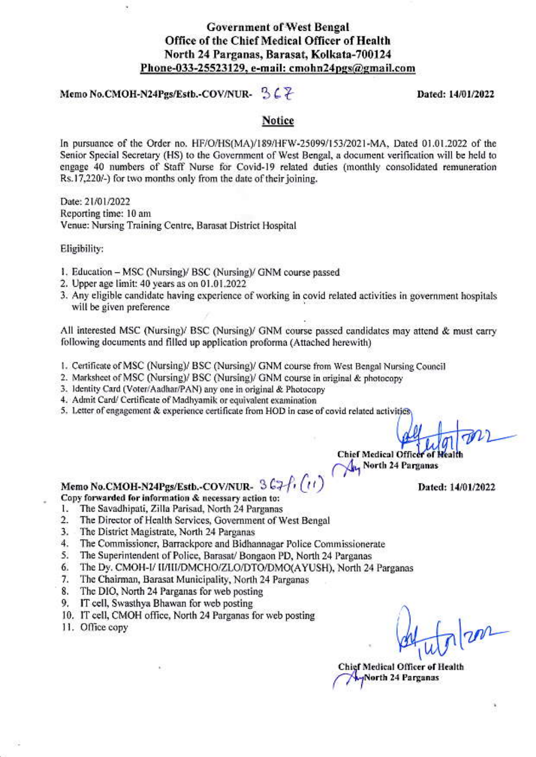#### Memo No.CMOH-N24Pgs/Estb.-COV/NUR- $367$

Dated: 14/01/2022

#### Notice

In pursuance of the Order no. HF/O/HS(MA)/189/HFW-25099/153/2021-MA, Dated 01.01.2022 of the Senior Special Secretary (HS) to the Government of West Bengal, a document verification will be held to engage 40 numbers of Staff Nurse for Covid-19 related duties (monthly consolidated remuneration Rs.17,220/-) for two months only from the date of their joining.

Date: 21/01/2022 Reporting time: 10 am Venue: Nursing Training Centre, Barasat District Hospital

Eligibility:

- 1. Education MSC (Nursing)/ BSC (Nursing)/ GNM course passed
- 2. Upper age limit: 40 years as on 01.01.2022
- 3. Any eligible candidate having experience of working in covid related activities in government hospitals will be given preference

All interested MSC (Nursing)/ BSC (Nursing)/ GNM course passed candidates may attend & must carry following documents and filled up application proforma (Attached herewith)

- 1. Certificate of MSC (Nursing)/ BSC (Nursing)/ GNM course from West Bengal Nursing Council
- 2. Marksheet of MSC (Nursing)/ BSC (Nursing)/ GNM course in original & photocopy
- 3. Identity Card (Voter/Aadhar/PAN) any one in original & Photocopy
- 4. Admit Card/ Certificate of Madhyamik or equivalent examination
- 5. Letter of engagement & experience certificate from HOD in case of covid related activities

**Chief Medical Officer** 

North 24 Parganas

Dated: 14/01/2022

#### Memo No.CMOH-N24Pgs/Estb.-COV/NUR- 367/1/11

Copy forwarded for information & necessary action to:

- The Savadhipati, Zilla Parisad, North 24 Parganas 1.
- $\overline{2}$ . The Director of Health Services, Government of West Bengal
- $3.$ The District Magistrate, North 24 Parganas
- 4. The Commissioner, Barrackpore and Bidhannagar Police Commissionerate
- The Superintendent of Police, Barasat/ Bongaon PD, North 24 Parganas 5.
- The Dy. CMOH-I/ II/III/DMCHO/ZLO/DTO/DMO(AYUSH), North 24 Parganas 6.
- 7. The Chairman, Barasat Municipality, North 24 Parganas
- 8. The DIO, North 24 Parganas for web posting
- 9. IT cell, Swasthya Bhawan for web posting
- 10. IT cell, CMOH office, North 24 Parganas for web posting
- 11. Office copy

m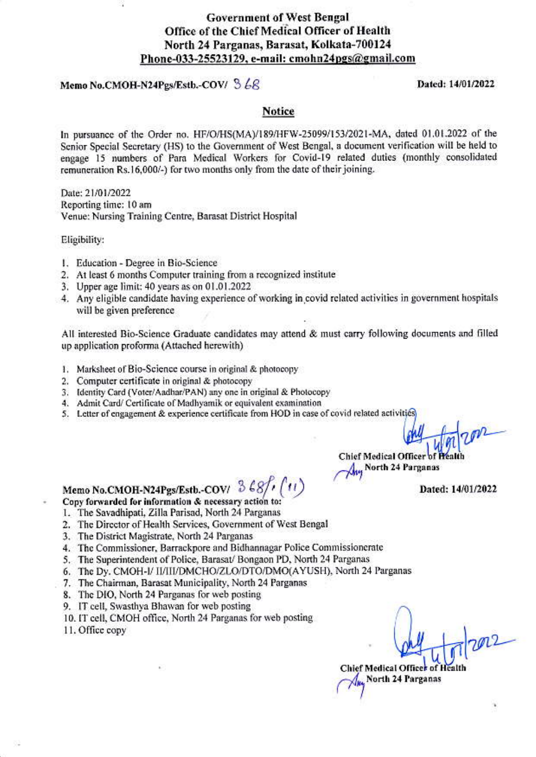#### Memo No.CMOH-N24Pgs/Estb.-COV/  $368$

#### Dated: 14/01/2022

#### **Notice**

In pursuance of the Order no. HF/O/HS(MA)/189/HFW-25099/153/2021-MA, dated 01.01.2022 of the Senior Special Secretary (HS) to the Government of West Bengal, a document verification will be held to engage 15 numbers of Para Medical Workers for Covid-19 related duties (monthly consolidated remuneration Rs.16,000/-) for two months only from the date of their joining.

Date: 21/01/2022 Reporting time: 10 am Venue: Nursing Training Centre, Barasat District Hospital

Eligibility:

- 1. Education Degree in Bio-Science
- 2. At least 6 months Computer training from a recognized institute
- 3. Upper age limit: 40 years as on 01.01.2022
- 4. Any eligible candidate having experience of working in covid related activities in government hospitals will be given preference.

All interested Bio-Science Graduate candidates may attend & must carry following documents and filled up application proforma (Attached herewith)

- 1. Marksheet of Bio-Science course in original & photocopy
- 2. Computer certificate in original & photocopy
- 3. Identity Card (Voter/Aadhar/PAN) any one in original & Photocopy
- 4. Admit Card/ Certificate of Madhyamik or equivalent examination
- 5. Letter of engagement & experience certificate from HOD in case of covid related activities

Chief Medical Officer of Health **Any North 24 Parganas** 

Dated: 14/01/2022

## Memo No.CMOH-N24Pgs/Estb.-COV/ 3 68/ Copy forwarded for information & necessary action to:

- 1. The Savadhipati, Zilla Parisad, North 24 Parganas
- 2. The Director of Health Services, Government of West Bengal
- 3. The District Magistrate, North 24 Parganas
- 4. The Commissioner, Barrackpore and Bidhannagar Police Commissionerate
- 5. The Superintendent of Police, Barasat/ Bongaon PD, North 24 Parganas
- 6. The Dy. CMOH-I/ II/III/DMCHO/ZLO/DTO/DMO(AYUSH), North 24 Parganas
- 7. The Chairman, Barasat Municipality, North 24 Parganas
- 8. The DIO, North 24 Parganas for web posting
- 9. IT cell, Swasthya Bhawan for web posting
- 10. IT cell, CMOH office, North 24 Parganas for web posting
- 11. Office copy

 $202$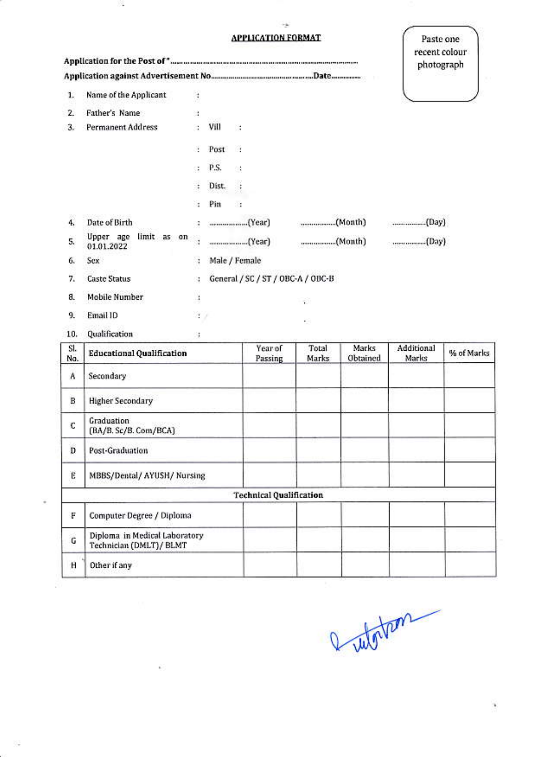#### **APPLICATION FORMAT.**

 $\rightarrow$ 

滁

¥

÷

품

 $\hat{K}$ 

|                | <b>APPLICATION FORMAT</b>                                |                                         |               |                                |                    |                |                   | Paste one           |               |
|----------------|----------------------------------------------------------|-----------------------------------------|---------------|--------------------------------|--------------------|----------------|-------------------|---------------------|---------------|
|                | ${\large \bf Application\ for\ the\ Post\ of\ } ``\quad$ |                                         |               |                                |                    |                |                   | photograph          | recent colour |
|                |                                                          |                                         |               |                                |                    |                |                   |                     |               |
| $\mathbf{1}$ . | Name of the Applicant                                    | ¢                                       |               |                                |                    |                |                   |                     |               |
| 2.             | Father's Name                                            | G.                                      |               |                                |                    |                |                   |                     |               |
| 3.             | <b>Permanent Address</b>                                 | a.                                      | Vill          | $\sim$                         |                    |                |                   |                     |               |
|                |                                                          | Y.                                      | Post          | - 69                           |                    |                |                   |                     |               |
|                |                                                          | Œ                                       | P.S.          | $\mathcal{C}(\mathcal{C})$     |                    |                |                   |                     |               |
|                |                                                          | it.                                     | Dist.         | $\mathcal{A}$                  |                    |                |                   |                     |               |
|                |                                                          | ÷.                                      | Pin           | 21                             |                    |                |                   |                     |               |
| 4.             | Date of Birth                                            | ÷.                                      |               |                                |                    |                |                   |                     |               |
| 5,             | Upper age limit as on<br>01.01.2022                      | 9                                       |               |                                |                    |                |                   |                     |               |
| 6.             | Sex                                                      | ä                                       | Male / Female |                                |                    |                |                   |                     |               |
| 7.             | <b>Caste Status</b>                                      | General / SC / ST / OBC-A / OBC-B<br>Ġ. |               |                                |                    |                |                   |                     |               |
| 8.             | Mobile Number                                            | $\cdot$                                 |               |                                |                    | õ              |                   |                     |               |
| 9.             | Email ID                                                 | 注文                                      |               |                                |                    | . .            |                   |                     |               |
| 10.            | Qualification                                            | 过                                       |               |                                |                    |                |                   |                     |               |
| SI.<br>No.     | <b>Educational Qualification</b>                         |                                         |               |                                | Year of<br>Passing | Total<br>Marks | Marks<br>Obtained | Additional<br>Marks | % of Marks    |
| Α              | Secondary                                                |                                         |               |                                |                    |                |                   |                     |               |
| B              | <b>Higher Secondary</b>                                  |                                         |               |                                |                    |                |                   |                     |               |
| C              | Graduation<br>(BA/B. Sc/B. Com/BCA)                      |                                         |               |                                |                    |                |                   |                     |               |
| D              | Post-Graduation                                          |                                         |               |                                |                    |                |                   |                     |               |
| Ë              | MBBS/Dental/ AYUSH/ Nursing                              |                                         |               |                                |                    |                |                   |                     |               |
|                |                                                          |                                         |               | <b>Technical Qualification</b> |                    |                |                   |                     |               |
| F              | Computer Degree / Diploma                                |                                         |               |                                |                    |                |                   |                     |               |
| G              | Diploma in Medical Laboratory<br>Technician (DMLT)/ BLMT |                                         |               |                                |                    |                |                   |                     |               |
| Н              | Other if any                                             |                                         |               |                                |                    |                |                   |                     |               |

entortem

 $\hat{\boldsymbol{\theta}}$